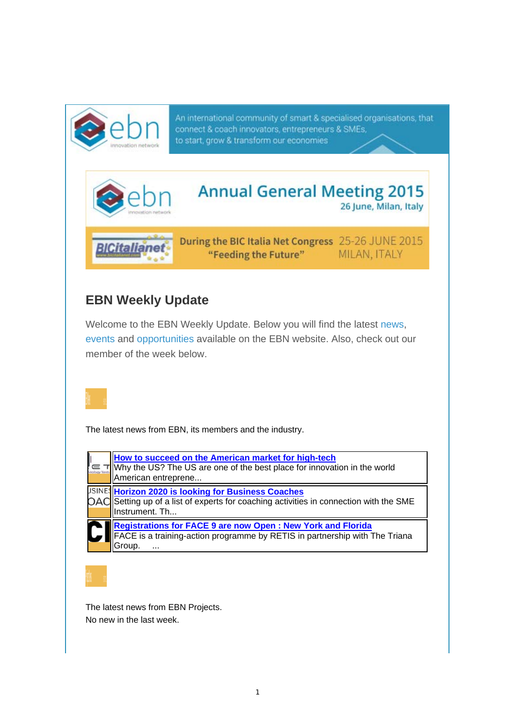

An international community of smart & specialised organisations, that connect & coach innovators, entrepreneurs & SMEs, to start, grow & transform our economies



## **EBN Weekly Update**

Welcome to the EBN Weekly Update. Below you will find the latest news, events and opportunities available on the EBN website. Also, check out our member of the week below.



The latest news from EBN, its members and the industry.

| How to succeed on the American market for high-tech<br>Why the US? The US are one of the best place for innovation in the world<br>American entreprene                        |
|-------------------------------------------------------------------------------------------------------------------------------------------------------------------------------|
| USINE <mark>S Horizon 2020 is looking for Business Coaches</mark><br>OAC Setting up of a list of experts for coaching activities in connection with the SME<br>Instrument. Th |
| <b>Registrations for FACE 9 are now Open : New York and Florida</b><br>FACE is a training-action programme by RETIS in partnership with The Triana<br>Group                   |

The latest news from EBN Projects. No new in the last week.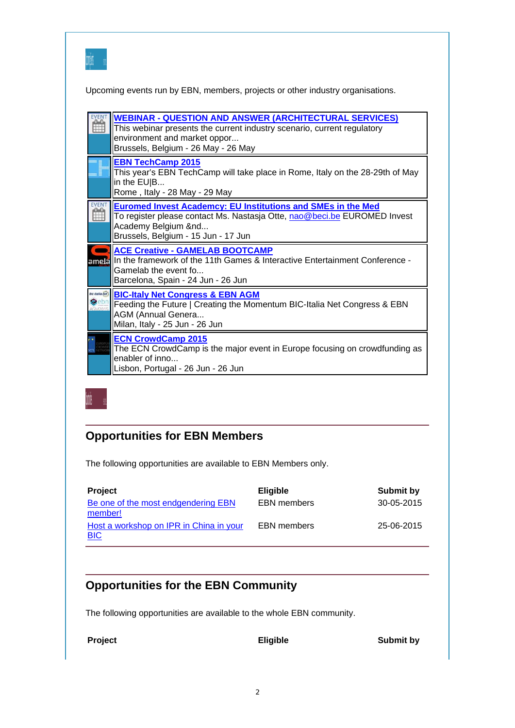| uani uk |  |  |
|---------|--|--|
| man     |  |  |

Upcoming events run by EBN, members, projects or other industry organisations.

| <b>WEBINAR - QUESTION AND ANSWER (ARCHITECTURAL SERVICES)</b><br>This webinar presents the current industry scenario, current regulatory<br>environment and market oppor<br>Brussels, Belgium - 26 May - 26 May |
|-----------------------------------------------------------------------------------------------------------------------------------------------------------------------------------------------------------------|
| <b>EBN TechCamp 2015</b><br>This year's EBN TechCamp will take place in Rome, Italy on the 28-29th of May<br>in the EU B<br>Rome, Italy - 28 May - 29 May                                                       |
| <b>Euromed Invest Academcy: EU Institutions and SMEs in the Med</b><br>To register please contact Ms. Nastasja Otte, nao@beci.be EUROMED Invest<br>Academy Belgium &nd<br>Brussels, Belgium - 15 Jun - 17 Jun   |
| <b>ACE Creative - GAMELAB BOOTCAMP</b><br>ametalln the framework of the 11th Games & Interactive Entertainment Conference -<br>Gamelab the event fo<br>Barcelona, Spain - 24 Jun - 26 Jun                       |
| <b>BIC-Italy Net Congress &amp; EBN AGM</b><br>Feeding the Future   Creating the Momentum BIC-Italia Net Congress & EBN<br><b>AGM (Annual Genera</b><br>Milan, Italy - 25 Jun - 26 Jun                          |
| <b>ECN CrowdCamp 2015</b><br>The ECN CrowdCamp is the major event in Europe focusing on crowdfunding as<br>enabler of inno<br>Lisbon, Portugal - 26 Jun - 26 Jun                                                |



## **Opportunities for EBN Members**

The following opportunities are available to EBN Members only.

| <b>Project</b>                                        | <b>Eligible</b>    | Submit by  |
|-------------------------------------------------------|--------------------|------------|
| Be one of the most endgendering EBN<br>member!        | <b>EBN</b> members | 30-05-2015 |
| Host a workshop on IPR in China in your<br><b>BIC</b> | <b>EBN</b> members | 25-06-2015 |

## **Opportunities for the EBN Community**

The following opportunities are available to the whole EBN community.

**Project Eligible Eligible Submit by**